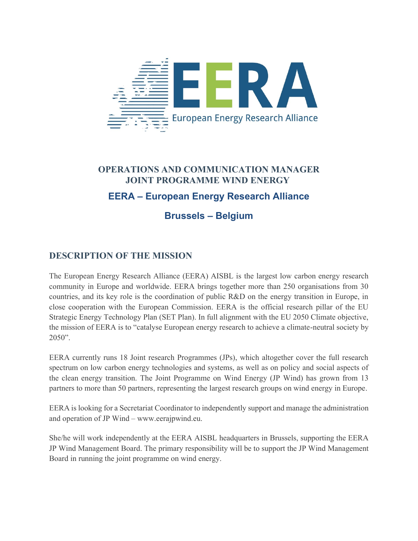

# **OPERATIONS AND COMMUNICATION MANAGER JOINT PROGRAMME WIND ENERGY EERA – European Energy Research Alliance**

# **Brussels – Belgium**

### **DESCRIPTION OF THE MISSION**

The European Energy Research Alliance (EERA) AISBL is the largest low carbon energy research community in Europe and worldwide. EERA brings together more than 250 organisations from 30 countries, and its key role is the coordination of public R&D on the energy transition in Europe, in close cooperation with the European Commission. EERA is the official research pillar of the EU Strategic Energy Technology Plan (SET Plan). In full alignment with the EU 2050 Climate objective, the mission of EERA is to "catalyse European energy research to achieve a climate-neutral society by 2050".

EERA currently runs 18 Joint research Programmes (JPs), which altogether cover the full research spectrum on low carbon energy technologies and systems, as well as on policy and social aspects of the clean energy transition. The Joint Programme on Wind Energy (JP Wind) has grown from 13 partners to more than 50 partners, representing the largest research groups on wind energy in Europe.

EERA is looking for a Secretariat Coordinator to independently support and manage the administration and operation of JP Wind – www.eerajpwind.eu.

She/he will work independently at the EERA AISBL headquarters in Brussels, supporting the EERA JP Wind Management Board. The primary responsibility will be to support the JP Wind Management Board in running the joint programme on wind energy.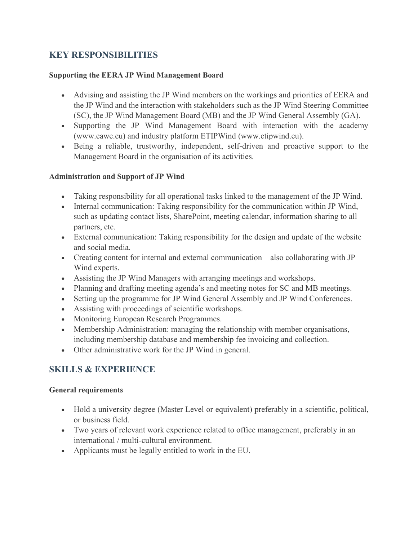## **KEY RESPONSIBILITIES**

#### **Supporting the EERA JP Wind Management Board**

- Advising and assisting the JP Wind members on the workings and priorities of EERA and the JP Wind and the interaction with stakeholders such as the JP Wind Steering Committee (SC), the JP Wind Management Board (MB) and the JP Wind General Assembly (GA).
- Supporting the JP Wind Management Board with interaction with the academy (www.eawe.eu) and industry platform ETIPWind (www.etipwind.eu).
- Being a reliable, trustworthy, independent, self-driven and proactive support to the Management Board in the organisation of its activities.

#### **Administration and Support of JP Wind**

- Taking responsibility for all operational tasks linked to the management of the JP Wind.
- Internal communication: Taking responsibility for the communication within JP Wind, such as updating contact lists, SharePoint, meeting calendar, information sharing to all partners, etc.
- External communication: Taking responsibility for the design and update of the website and social media.
- Creating content for internal and external communication also collaborating with JP Wind experts.
- Assisting the JP Wind Managers with arranging meetings and workshops.
- Planning and drafting meeting agenda's and meeting notes for SC and MB meetings.
- Setting up the programme for JP Wind General Assembly and JP Wind Conferences.
- Assisting with proceedings of scientific workshops.
- Monitoring European Research Programmes.
- Membership Administration: managing the relationship with member organisations, including membership database and membership fee invoicing and collection.
- Other administrative work for the JP Wind in general.

### **SKILLS & EXPERIENCE**

#### **General requirements**

- Hold a university degree (Master Level or equivalent) preferably in a scientific, political, or business field.
- Two years of relevant work experience related to office management, preferably in an international / multi-cultural environment.
- Applicants must be legally entitled to work in the EU.